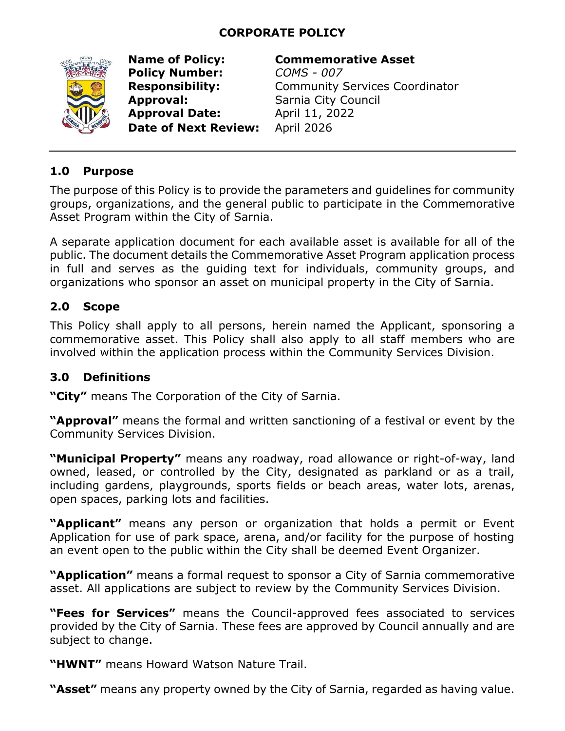# **CORPORATE POLICY**



**Policy Number:** *COMS - 007* **Approval:** Sarnia City Council **Approval Date:** April 11, 2022 **Date of Next Review:** April 2026

**Name of Policy: Commemorative Asset**

**Responsibility:** Community Services Coordinator

#### **1.0 Purpose**

The purpose of this Policy is to provide the parameters and guidelines for community groups, organizations, and the general public to participate in the Commemorative Asset Program within the City of Sarnia.

A separate application document for each available asset is available for all of the public. The document details the Commemorative Asset Program application process in full and serves as the guiding text for individuals, community groups, and organizations who sponsor an asset on municipal property in the City of Sarnia.

## **2.0 Scope**

This Policy shall apply to all persons, herein named the Applicant, sponsoring a commemorative asset. This Policy shall also apply to all staff members who are involved within the application process within the Community Services Division.

## **3.0 Definitions**

**"City"** means The Corporation of the City of Sarnia.

**"Approval"** means the formal and written sanctioning of a festival or event by the Community Services Division.

**"Municipal Property"** means any roadway, road allowance or right-of-way, land owned, leased, or controlled by the City, designated as parkland or as a trail, including gardens, playgrounds, sports fields or beach areas, water lots, arenas, open spaces, parking lots and facilities.

**"Applicant"** means any person or organization that holds a permit or Event Application for use of park space, arena, and/or facility for the purpose of hosting an event open to the public within the City shall be deemed Event Organizer.

**"Application"** means a formal request to sponsor a City of Sarnia commemorative asset. All applications are subject to review by the Community Services Division.

**"Fees for Services"** means the Council-approved fees associated to services provided by the City of Sarnia. These fees are approved by Council annually and are subject to change.

**"HWNT"** means Howard Watson Nature Trail.

**"Asset"** means any property owned by the City of Sarnia, regarded as having value.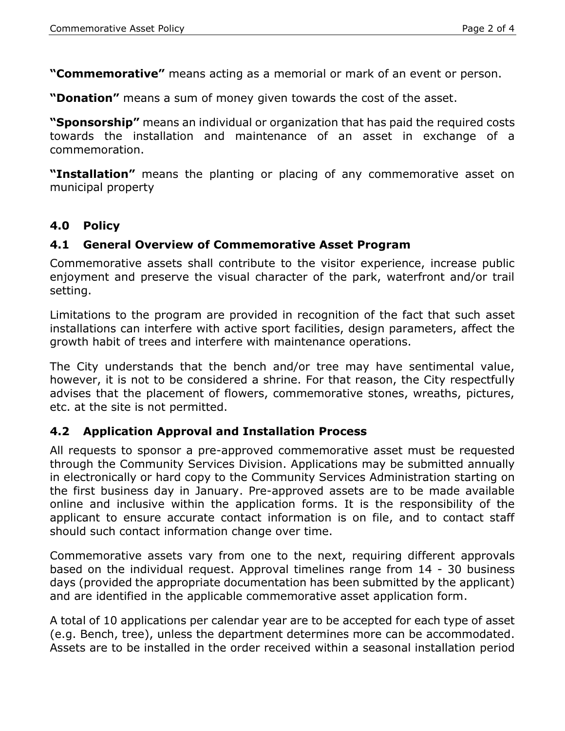**"Commemorative"** means acting as a memorial or mark of an event or person.

**"Donation"** means a sum of money given towards the cost of the asset.

**"Sponsorship"** means an individual or organization that has paid the required costs towards the installation and maintenance of an asset in exchange of a commemoration.

**"Installation"** means the planting or placing of any commemorative asset on municipal property

#### **4.0 Policy**

#### **4.1 General Overview of Commemorative Asset Program**

Commemorative assets shall contribute to the visitor experience, increase public enjoyment and preserve the visual character of the park, waterfront and/or trail setting.

Limitations to the program are provided in recognition of the fact that such asset installations can interfere with active sport facilities, design parameters, affect the growth habit of trees and interfere with maintenance operations.

The City understands that the bench and/or tree may have sentimental value, however, it is not to be considered a shrine. For that reason, the City respectfully advises that the placement of flowers, commemorative stones, wreaths, pictures, etc. at the site is not permitted.

#### **4.2 Application Approval and Installation Process**

All requests to sponsor a pre-approved commemorative asset must be requested through the Community Services Division. Applications may be submitted annually in electronically or hard copy to the Community Services Administration starting on the first business day in January. Pre-approved assets are to be made available online and inclusive within the application forms. It is the responsibility of the applicant to ensure accurate contact information is on file, and to contact staff should such contact information change over time.

Commemorative assets vary from one to the next, requiring different approvals based on the individual request. Approval timelines range from 14 - 30 business days (provided the appropriate documentation has been submitted by the applicant) and are identified in the applicable commemorative asset application form.

A total of 10 applications per calendar year are to be accepted for each type of asset (e.g. Bench, tree), unless the department determines more can be accommodated. Assets are to be installed in the order received within a seasonal installation period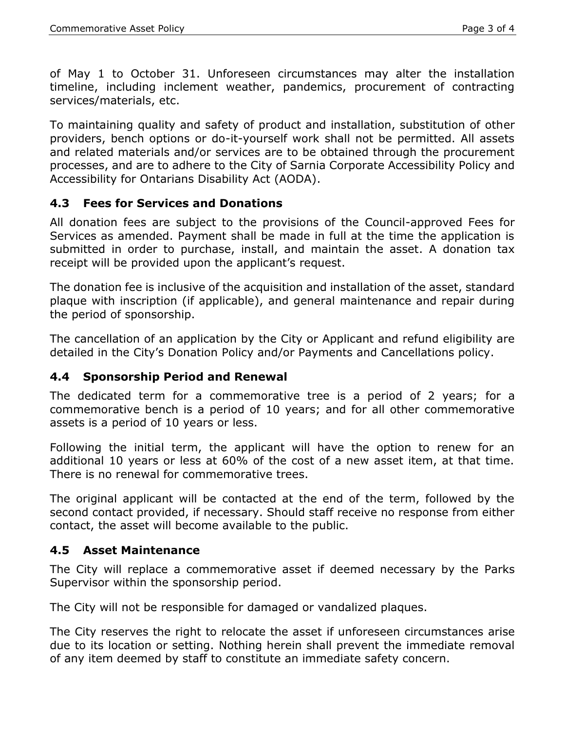of May 1 to October 31. Unforeseen circumstances may alter the installation timeline, including inclement weather, pandemics, procurement of contracting services/materials, etc.

To maintaining quality and safety of product and installation, substitution of other providers, bench options or do-it-yourself work shall not be permitted. All assets and related materials and/or services are to be obtained through the procurement processes, and are to adhere to the City of Sarnia Corporate Accessibility Policy and Accessibility for Ontarians Disability Act (AODA).

# **4.3 Fees for Services and Donations**

All donation fees are subject to the provisions of the Council-approved Fees for Services as amended. Payment shall be made in full at the time the application is submitted in order to purchase, install, and maintain the asset. A donation tax receipt will be provided upon the applicant's request.

The donation fee is inclusive of the acquisition and installation of the asset, standard plaque with inscription (if applicable), and general maintenance and repair during the period of sponsorship.

The cancellation of an application by the City or Applicant and refund eligibility are detailed in the City's Donation Policy and/or Payments and Cancellations policy.

## **4.4 Sponsorship Period and Renewal**

The dedicated term for a commemorative tree is a period of 2 years; for a commemorative bench is a period of 10 years; and for all other commemorative assets is a period of 10 years or less.

Following the initial term, the applicant will have the option to renew for an additional 10 years or less at 60% of the cost of a new asset item, at that time. There is no renewal for commemorative trees.

The original applicant will be contacted at the end of the term, followed by the second contact provided, if necessary. Should staff receive no response from either contact, the asset will become available to the public.

## **4.5 Asset Maintenance**

The City will replace a commemorative asset if deemed necessary by the Parks Supervisor within the sponsorship period.

The City will not be responsible for damaged or vandalized plaques.

The City reserves the right to relocate the asset if unforeseen circumstances arise due to its location or setting. Nothing herein shall prevent the immediate removal of any item deemed by staff to constitute an immediate safety concern.